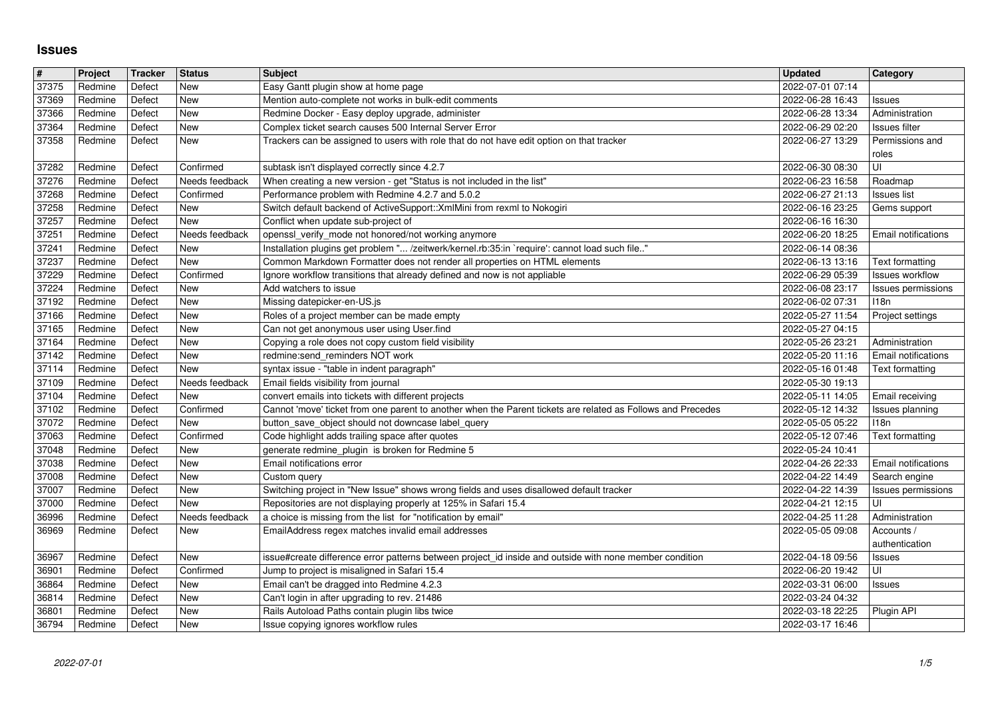## **Issues**

| $\overline{\#}$<br>37375 | Project<br>Redmine | Tracker<br>Defect | <b>Status</b><br>New         | <b>Subject</b><br>Easy Gantt plugin show at home page                                                                                                                       | <b>Updated</b><br>2022-07-01 07:14   | Category                                     |
|--------------------------|--------------------|-------------------|------------------------------|-----------------------------------------------------------------------------------------------------------------------------------------------------------------------------|--------------------------------------|----------------------------------------------|
| 37369                    | Redmine            | Defect            | New                          | Mention auto-complete not works in bulk-edit comments                                                                                                                       | 2022-06-28 16:43                     | Issues                                       |
| 37366<br>37364           | Redmine<br>Redmine | Defect<br>Defect  | New<br>New                   | Redmine Docker - Easy deploy upgrade, administer<br>Complex ticket search causes 500 Internal Server Error                                                                  | 2022-06-28 13:34<br>2022-06-29 02:20 | Administration<br>Issues filter              |
| 37358                    | Redmine            | Defect            | New                          | Trackers can be assigned to users with role that do not have edit option on that tracker                                                                                    | 2022-06-27 13:29                     | Permissions and                              |
| 37282                    | Redmine            | Defect            | Confirmed                    | subtask isn't displayed correctly since 4.2.7                                                                                                                               | 2022-06-30 08:30                     | roles<br>UI                                  |
| 37276<br>37268           | Redmine<br>Redmine | Defect<br>Defect  | Needs feedback<br>Confirmed  | When creating a new version - get "Status is not included in the list"<br>Performance problem with Redmine 4.2.7 and 5.0.2                                                  | 2022-06-23 16:58<br>2022-06-27 21:13 | Roadmap<br><b>Issues list</b>                |
| 37258<br>37257           | Redmine<br>Redmine | Defect<br>Defect  | New<br><b>New</b>            | Switch default backend of ActiveSupport:: XmlMini from rexml to Nokogiri<br>Conflict when update sub-project of                                                             | 2022-06-16 23:25<br>2022-06-16 16:30 | Gems support                                 |
| 37251                    | Redmine            | Defect            | Needs feedback               | openssl_verify_mode not honored/not working anymore                                                                                                                         | 2022-06-20 18:25                     | Email notifications                          |
| 37241<br>37237           | Redmine<br>Redmine | Defect<br>Defect  | New<br>New                   | Installation plugins get problem " /zeitwerk/kernel.rb:35:in `require': cannot load such file"<br>Common Markdown Formatter does not render all properties on HTML elements | 2022-06-14 08:36<br>2022-06-13 13:16 | Text formatting                              |
| 37229                    | Redmine            | Defect            | Confirmed                    | Ignore workflow transitions that already defined and now is not appliable                                                                                                   | 2022-06-29 05:39                     | Issues workflow                              |
| 37224<br>37192           | Redmine<br>Redmine | Defect<br>Defect  | New<br>New                   | Add watchers to issue<br>Missing datepicker-en-US.js                                                                                                                        | 2022-06-08 23:17<br>2022-06-02 07:31 | Issues permissions<br>118n                   |
| 37166<br>37165           | Redmine<br>Redmine | Defect<br>Defect  | New<br>New                   | Roles of a project member can be made empty<br>Can not get anonymous user using User.find                                                                                   | 2022-05-27 11:54<br>2022-05-27 04:15 | Project settings                             |
| 37164                    | Redmine            | Defect<br>Defect  | New<br>New                   | Copying a role does not copy custom field visibility<br>redmine:send reminders NOT work                                                                                     | 2022-05-26 23:21                     | Administration<br><b>Email notifications</b> |
| 37142<br>37114           | Redmine<br>Redmine | Defect            | New                          | syntax issue - "table in indent paragraph"                                                                                                                                  | 2022-05-20 11:16<br>2022-05-16 01:48 | Text formatting                              |
| 37109<br>37104           | Redmine<br>Redmine | Defect<br>Defect  | Needs feedback<br>New        | Email fields visibility from journal<br>convert emails into tickets with different projects                                                                                 | 2022-05-30 19:13<br>2022-05-11 14:05 | Email receiving                              |
| 37102                    | Redmine            | Defect            | Confirmed                    | Cannot 'move' ticket from one parent to another when the Parent tickets are related as Follows and Precedes                                                                 | 2022-05-12 14:32                     | Issues planning                              |
| 37072<br>37063           | Redmine<br>Redmine | Defect<br>Defect  | New<br>Confirmed             | button_save_object should not downcase label_query<br>Code highlight adds trailing space after quotes                                                                       | 2022-05-05 05:22<br>2022-05-12 07:46 | 118n<br>Text formatting                      |
| 37048                    | Redmine            | Defect            | New                          | generate redmine_plugin is broken for Redmine 5                                                                                                                             | 2022-05-24 10:41                     |                                              |
| 37038<br>37008           | Redmine<br>Redmine | Defect<br>Defect  | New<br>New                   | Email notifications error<br>Custom query                                                                                                                                   | 2022-04-26 22:33<br>2022-04-22 14:49 | Email notifications<br>Search engine         |
| 37007                    | Redmine            | Defect            | New                          | Switching project in "New Issue" shows wrong fields and uses disallowed default tracker                                                                                     | 2022-04-22 14:39                     | Issues permissions                           |
| 37000<br>36996           | Redmine<br>Redmine | Defect<br>Defect  | <b>New</b><br>Needs feedback | Repositories are not displaying properly at 125% in Safari 15.4<br>a choice is missing from the list for "notification by email"                                            | 2022-04-21 12:15<br>2022-04-25 11:28 | UI<br>Administration                         |
| 36969                    | Redmine            | Defect            | New                          | EmailAddress regex matches invalid email addresses                                                                                                                          | 2022-05-05 09:08                     | Accounts /<br>authentication                 |
| 36967                    | Redmine            | Defect            | New                          | issue#create difference error patterns between project_id inside and outside with none member condition                                                                     | 2022-04-18 09:56                     | Issues                                       |
| 36901<br>36864           | Redmine<br>Redmine | Defect<br>Defect  | Confirmed<br>New             | Jump to project is misaligned in Safari 15.4<br>Email can't be dragged into Redmine 4.2.3                                                                                   | 2022-06-20 19:42<br>2022-03-31 06:00 | UI<br><b>Issues</b>                          |
| 36814                    | Redmine            | Defect            | New                          | Can't login in after upgrading to rev. 21486                                                                                                                                | 2022-03-24 04:32                     |                                              |
| 36801<br>36794           | Redmine<br>Redmine | Defect<br>Defect  | New<br>New                   | Rails Autoload Paths contain plugin libs twice<br>Issue copying ignores workflow rules                                                                                      | 2022-03-18 22:25<br>2022-03-17 16:46 | Plugin API                                   |
|                          |                    |                   |                              |                                                                                                                                                                             |                                      |                                              |
|                          |                    |                   |                              |                                                                                                                                                                             |                                      |                                              |
|                          |                    |                   |                              |                                                                                                                                                                             |                                      |                                              |
|                          |                    |                   |                              |                                                                                                                                                                             |                                      |                                              |
|                          |                    |                   |                              |                                                                                                                                                                             |                                      |                                              |
|                          |                    |                   |                              |                                                                                                                                                                             |                                      |                                              |
|                          |                    |                   |                              |                                                                                                                                                                             |                                      |                                              |
|                          |                    |                   |                              |                                                                                                                                                                             |                                      |                                              |
|                          |                    |                   |                              |                                                                                                                                                                             |                                      |                                              |
|                          |                    |                   |                              |                                                                                                                                                                             |                                      |                                              |
|                          |                    |                   |                              |                                                                                                                                                                             |                                      |                                              |
|                          |                    |                   |                              |                                                                                                                                                                             |                                      |                                              |
|                          |                    |                   |                              |                                                                                                                                                                             |                                      |                                              |
|                          |                    |                   |                              |                                                                                                                                                                             |                                      |                                              |
|                          |                    |                   |                              |                                                                                                                                                                             |                                      |                                              |
|                          |                    |                   |                              |                                                                                                                                                                             |                                      |                                              |
|                          |                    |                   |                              |                                                                                                                                                                             |                                      |                                              |
|                          |                    |                   |                              |                                                                                                                                                                             |                                      |                                              |
|                          |                    |                   |                              |                                                                                                                                                                             |                                      |                                              |
|                          |                    |                   |                              |                                                                                                                                                                             |                                      |                                              |
|                          |                    |                   |                              |                                                                                                                                                                             |                                      |                                              |
|                          |                    |                   |                              |                                                                                                                                                                             |                                      |                                              |
|                          |                    |                   |                              |                                                                                                                                                                             |                                      |                                              |
|                          |                    |                   |                              |                                                                                                                                                                             |                                      |                                              |
|                          |                    |                   |                              |                                                                                                                                                                             |                                      |                                              |
|                          |                    |                   |                              |                                                                                                                                                                             |                                      |                                              |
|                          |                    |                   |                              |                                                                                                                                                                             |                                      |                                              |
|                          |                    |                   |                              |                                                                                                                                                                             |                                      |                                              |
|                          |                    |                   |                              |                                                                                                                                                                             |                                      |                                              |
|                          |                    |                   |                              |                                                                                                                                                                             |                                      |                                              |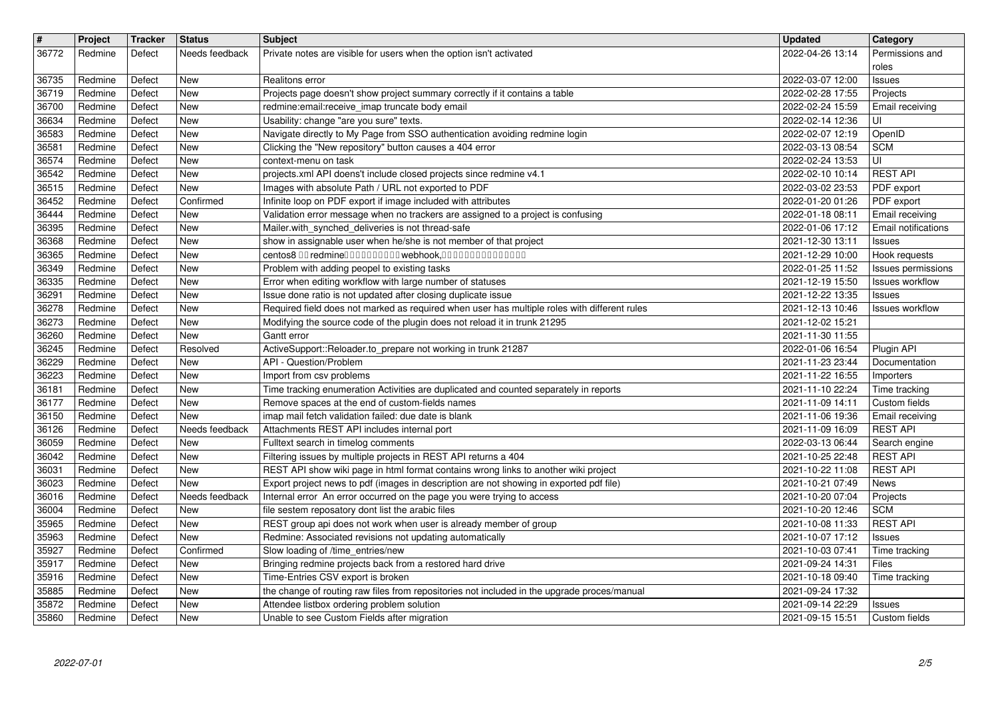| $\vert$ #      | Project            | <b>Tracker</b>   | <b>Status</b>                | <b>Subject</b>                                                                                                                                                                 | <b>Updated</b>                       | Category                               |
|----------------|--------------------|------------------|------------------------------|--------------------------------------------------------------------------------------------------------------------------------------------------------------------------------|--------------------------------------|----------------------------------------|
| 36772          | Redmine            | Defect           | Needs feedback               | Private notes are visible for users when the option isn't activated                                                                                                            | 2022-04-26 13:14                     | Permissions and<br>roles               |
| 36735          | Redmine            | Defect           | <b>New</b>                   | Realitons error                                                                                                                                                                | 2022-03-07 12:00                     | Issues                                 |
| 36719<br>36700 | Redmine<br>Redmine | Defect<br>Defect | New<br>New                   | Projects page doesn't show project summary correctly if it contains a table<br>redmine: email: receive_imap truncate body email                                                | 2022-02-28 17:55<br>2022-02-24 15:59 | Projects<br>Email receiving            |
| 36634          | Redmine            | Defect           | <b>New</b>                   | Usability: change "are you sure" texts.                                                                                                                                        | 2022-02-14 12:36                     | UI                                     |
| 36583<br>36581 | Redmine<br>Redmine | Defect<br>Defect | New<br>New                   | Navigate directly to My Page from SSO authentication avoiding redmine login<br>Clicking the "New repository" button causes a 404 error                                         | 2022-02-07 12:19<br>2022-03-13 08:54 | OpenID<br><b>SCM</b>                   |
| 36574          | Redmine            | Defect           | New                          | context-menu on task                                                                                                                                                           | 2022-02-24 13:53                     | UI                                     |
| 36542<br>36515 | Redmine<br>Redmine | Defect<br>Defect | <b>New</b><br><b>New</b>     | projects.xml API doens't include closed projects since redmine v4.1<br>Images with absolute Path / URL not exported to PDF                                                     | 2022-02-10 10:14<br>2022-03-02 23:53 | <b>REST API</b><br>PDF export          |
| 36452          | Redmine            | Defect           | Confirmed                    | Infinite loop on PDF export if image included with attributes                                                                                                                  | 2022-01-20 01:26                     | PDF export                             |
| 36444          | Redmine<br>Redmine | Defect<br>Defect | New<br><b>New</b>            | Validation error message when no trackers are assigned to a project is confusing<br>Mailer.with_synched_deliveries is not thread-safe                                          | 2022-01-18 08:11<br>2022-01-06 17:12 | Email receiving<br>Email notifications |
| 36395<br>36368 | Redmine            | Defect           | <b>New</b>                   | show in assignable user when he/she is not member of that project                                                                                                              | 2021-12-30 13:11                     | Issues                                 |
| 36365          | Redmine            | Defect           | New                          | centos8 00 redmine0000000000 webhook,000000000000000                                                                                                                           | 2021-12-29 10:00                     | Hook requests                          |
| 36349<br>36335 | Redmine<br>Redmine | Defect<br>Defect | New<br><b>New</b>            | Problem with adding peopel to existing tasks<br>Error when editing workflow with large number of statuses                                                                      | 2022-01-25 11:52<br>2021-12-19 15:50 | Issues permissions<br>Issues workflow  |
| 36291          | Redmine            | Defect           | <b>New</b>                   | Issue done ratio is not updated after closing duplicate issue                                                                                                                  | 2021-12-22 13:35                     | <b>Issues</b>                          |
| 36278<br>36273 | Redmine<br>Redmine | Defect<br>Defect | <b>New</b><br><b>New</b>     | Required field does not marked as required when user has multiple roles with different rules<br>Modifying the source code of the plugin does not reload it in trunk 21295      | 2021-12-13 10:46<br>2021-12-02 15:21 | Issues workflow                        |
| 36260          | Redmine            | Defect           | <b>New</b>                   | Gantt error                                                                                                                                                                    | 2021-11-30 11:55                     |                                        |
| 36245<br>36229 | Redmine<br>Redmine | Defect<br>Defect | Resolved<br><b>New</b>       | ActiveSupport::Reloader.to_prepare not working in trunk 21287<br>API - Question/Problem                                                                                        | 2022-01-06 16:54<br>2021-11-23 23:44 | Plugin API<br>Documentation            |
| 36223          | Redmine            | Defect           | New                          | Import from csv problems                                                                                                                                                       | 2021-11-22 16:55                     | Importers                              |
| 36181<br>36177 | Redmine<br>Redmine | Defect<br>Defect | New<br>New                   | Time tracking enumeration Activities are duplicated and counted separately in reports<br>Remove spaces at the end of custom-fields names                                       | 2021-11-10 22:24<br>2021-11-09 14:11 | Time tracking<br>Custom fields         |
| 36150          | Redmine            | Defect           | <b>New</b>                   | imap mail fetch validation failed: due date is blank                                                                                                                           | 2021-11-06 19:36                     | Email receiving                        |
| 36126<br>36059 | Redmine<br>Redmine | Defect<br>Defect | Needs feedback<br><b>New</b> | Attachments REST API includes internal port<br>Fulltext search in timelog comments                                                                                             | 2021-11-09 16:09<br>2022-03-13 06:44 | <b>REST API</b><br>Search engine       |
| 36042          | Redmine            | Defect           | <b>New</b>                   | Filtering issues by multiple projects in REST API returns a 404                                                                                                                | 2021-10-25 22:48                     | <b>REST API</b>                        |
| 36031<br>36023 | Redmine<br>Redmine | Defect<br>Defect | <b>New</b><br>New            | REST API show wiki page in html format contains wrong links to another wiki project<br>Export project news to pdf (images in description are not showing in exported pdf file) | 2021-10-22 11:08<br>2021-10-21 07:49 | <b>REST API</b><br>News                |
| 36016          | Redmine            | Defect           | Needs feedback               | Internal error An error occurred on the page you were trying to access                                                                                                         | 2021-10-20 07:04                     | Projects                               |
| 36004          | Redmine<br>Redmine | Defect<br>Defect | New<br><b>New</b>            | file sestem reposatory dont list the arabic files<br>REST group api does not work when user is already member of group                                                         | 2021-10-20 12:46                     | <b>SCM</b><br><b>REST API</b>          |
| 35965<br>35963 | Redmine            | Defect           | <b>New</b>                   | Redmine: Associated revisions not updating automatically                                                                                                                       | 2021-10-08 11:33<br>2021-10-07 17:12 | Issues                                 |
| 35927<br>35917 | Redmine            | Defect           | Confirmed<br>New             | Slow loading of /time_entries/new                                                                                                                                              | 2021-10-03 07:41<br>2021-09-24 14:31 | Time tracking                          |
| 35916          | Redmine<br>Redmine | Defect<br>Defect | <b>New</b>                   | Bringing redmine projects back from a restored hard drive<br>Time-Entries CSV export is broken                                                                                 | 2021-10-18 09:40                     | Files<br>Time tracking                 |
| 35885          | Redmine            | Defect           | New                          | the change of routing raw files from repositories not included in the upgrade proces/manual                                                                                    | 2021-09-24 17:32                     |                                        |
| 35872<br>35860 | Redmine<br>Redmine | Defect<br>Defect | New<br>New                   | Attendee listbox ordering problem solution<br>Unable to see Custom Fields after migration                                                                                      | 2021-09-14 22:29<br>2021-09-15 15:51 | Issues<br>Custom fields                |
|                |                    |                  |                              |                                                                                                                                                                                |                                      |                                        |
|                |                    |                  |                              |                                                                                                                                                                                |                                      |                                        |
|                |                    |                  |                              |                                                                                                                                                                                |                                      |                                        |
|                |                    |                  |                              |                                                                                                                                                                                |                                      |                                        |
|                |                    |                  |                              |                                                                                                                                                                                |                                      |                                        |
|                |                    |                  |                              |                                                                                                                                                                                |                                      |                                        |
|                |                    |                  |                              |                                                                                                                                                                                |                                      |                                        |
|                |                    |                  |                              |                                                                                                                                                                                |                                      |                                        |
|                |                    |                  |                              |                                                                                                                                                                                |                                      |                                        |
|                |                    |                  |                              |                                                                                                                                                                                |                                      |                                        |
|                |                    |                  |                              |                                                                                                                                                                                |                                      |                                        |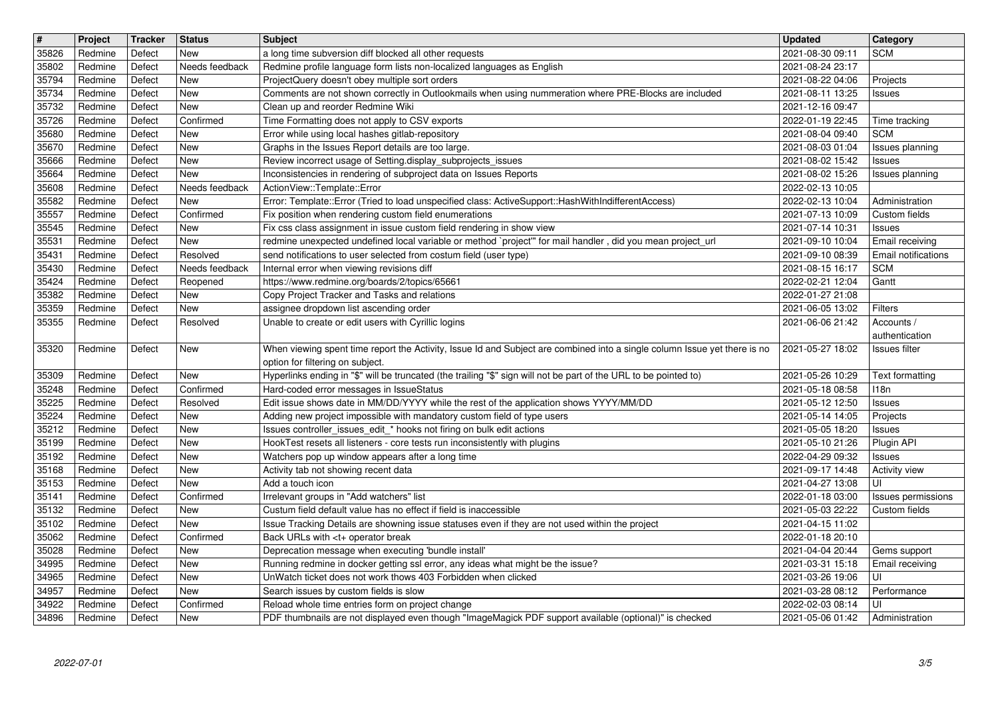| $\overline{\mathbf{t}}$ | Project            | Tracker          | <b>Status</b>              | <b>Subject</b>                                                                                                                                                                      | <b>Updated</b>                       | <b>Category</b>                  |
|-------------------------|--------------------|------------------|----------------------------|-------------------------------------------------------------------------------------------------------------------------------------------------------------------------------------|--------------------------------------|----------------------------------|
| 35826<br>35802          | Redmine<br>Redmine | Defect<br>Defect | New<br>Needs feedback      | a long time subversion diff blocked all other requests<br>Redmine profile language form lists non-localized languages as English                                                    | 2021-08-30 09:11<br>2021-08-24 23:17 | <b>SCM</b>                       |
| 35794                   | Redmine            | Defect           | New                        | ProjectQuery doesn't obey multiple sort orders                                                                                                                                      | 2021-08-22 04:06                     | Projects                         |
| 35734<br>35732          | Redmine<br>Redmine | Defect<br>Defect | New<br>New                 | Comments are not shown correctly in Outlookmails when using nummeration where PRE-Blocks are included<br>Clean up and reorder Redmine Wiki                                          | 2021-08-11 13:25<br>2021-12-16 09:47 | Issues                           |
| 35726                   | Redmine            | Defect           | Confirmed                  | Time Formatting does not apply to CSV exports                                                                                                                                       | 2022-01-19 22:45                     | Time tracking                    |
| 35680<br>35670          | Redmine<br>Redmine | Defect<br>Defect | New<br>New                 | Error while using local hashes gitlab-repository<br>Graphs in the Issues Report details are too large.                                                                              | 2021-08-04 09:40<br>2021-08-03 01:04 | <b>SCM</b><br>Issues planning    |
| 35666                   | Redmine            | Defect           | New                        | Review incorrect usage of Setting.display_subprojects_issues                                                                                                                        | 2021-08-02 15:42                     | Issues                           |
| 35664                   | Redmine            | Defect           | New                        | Inconsistencies in rendering of subproject data on Issues Reports                                                                                                                   | 2021-08-02 15:26                     | Issues planning                  |
| 35608<br>35582          | Redmine<br>Redmine | Defect<br>Defect | Needs feedback<br>New      | ActionView::Template::Error<br>Error: Template::Error (Tried to load unspecified class: ActiveSupport::HashWithIndifferentAccess)                                                   | 2022-02-13 10:05<br>2022-02-13 10:04 | Administration                   |
| 35557                   | Redmine            | Defect           | Confirmed                  | Fix position when rendering custom field enumerations                                                                                                                               | 2021-07-13 10:09                     | Custom fields                    |
| 35545<br>35531          | Redmine<br>Redmine | Defect<br>Defect | New<br>New                 | Fix css class assignment in issue custom field rendering in show view<br>redmine unexpected undefined local variable or method `project" for mail handler, did you mean project_url | 2021-07-14 10:31<br>2021-09-10 10:04 | <b>Issues</b><br>Email receiving |
| 35431                   | Redmine            | Defect           | Resolved                   | send notifications to user selected from costum field (user type)                                                                                                                   | 2021-09-10 08:39                     | <b>Email notifications</b>       |
| 35430<br>35424          | Redmine<br>Redmine | Defect<br>Defect | Needs feedback<br>Reopened | Internal error when viewing revisions diff<br>https://www.redmine.org/boards/2/topics/65661                                                                                         | 2021-08-15 16:17<br>2022-02-21 12:04 | <b>SCM</b><br>Gantt              |
| 35382                   | Redmine            | Defect           | New                        | Copy Project Tracker and Tasks and relations                                                                                                                                        | 2022-01-27 21:08                     |                                  |
| 35359                   | Redmine            | Defect           | New                        | assignee dropdown list ascending order<br>Unable to create or edit users with Cyrillic logins                                                                                       | 2021-06-05 13:02<br>2021-06-06 21:42 | Filters                          |
| 35355                   | Redmine            | Defect           | Resolved                   |                                                                                                                                                                                     |                                      | Accounts /<br>authentication     |
| 35320                   | Redmine            | Defect           | New                        | When viewing spent time report the Activity, Issue Id and Subject are combined into a single column Issue yet there is no                                                           | 2021-05-27 18:02                     | Issues filter                    |
| 35309                   | Redmine            | Defect           | New                        | option for filtering on subject.<br>Hyperlinks ending in "\$" will be truncated (the trailing "\$" sign will not be part of the URL to be pointed to)                               | 2021-05-26 10:29                     | Text formatting                  |
| 35248                   | Redmine            | Defect           | Confirmed                  | Hard-coded error messages in IssueStatus                                                                                                                                            | 2021-05-18 08:58                     | 118n                             |
| 35225<br>35224          | Redmine<br>Redmine | Defect<br>Defect | Resolved<br>New            | Edit issue shows date in MM/DD/YYYY while the rest of the application shows YYYY/MM/DD<br>Adding new project impossible with mandatory custom field of type users                   | 2021-05-12 12:50<br>2021-05-14 14:05 | Issues<br>Projects               |
| 35212                   | Redmine            | Defect           | New                        | Issues controller_issues_edit_* hooks not firing on bulk edit actions                                                                                                               | 2021-05-05 18:20                     | Issues                           |
| 35199                   | Redmine            | Defect           | New                        | HookTest resets all listeners - core tests run inconsistently with plugins                                                                                                          | 2021-05-10 21:26                     | Plugin API                       |
| 35192<br>35168          | Redmine<br>Redmine | Defect<br>Defect | New<br>New                 | Watchers pop up window appears after a long time<br>Activity tab not showing recent data                                                                                            | 2022-04-29 09:32<br>2021-09-17 14:48 | Issues<br><b>Activity view</b>   |
| 35153                   | Redmine            | Defect           | New                        | Add a touch icon                                                                                                                                                                    | 2021-04-27 13:08                     | UI                               |
| 35141                   | Redmine            | Defect           | Confirmed                  | Irrelevant groups in "Add watchers" list                                                                                                                                            | 2022-01-18 03:00                     | Issues permissions               |
| 35132<br>35102          | Redmine<br>Redmine | Defect<br>Defect | New<br>New                 | Custum field default value has no effect if field is inaccessible<br>Issue Tracking Details are showning issue statuses even if they are not used within the project                | 2021-05-03 22:22<br>2021-04-15 11:02 | Custom fields                    |
| 35062                   | Redmine            | Defect           | Confirmed                  | Back URLs with <t+ break<="" operator="" td=""><td>2022-01-18 20:10</td><td></td></t+>                                                                                              | 2022-01-18 20:10                     |                                  |
| 35028<br>34995          | Redmine<br>Redmine | Defect<br>Defect | New<br>New                 | Deprecation message when executing 'bundle install'<br>Running redmine in docker getting ssl error, any ideas what might be the issue?                                              | 2021-04-04 20:44<br>2021-03-31 15:18 | Gems support<br>Email receiving  |
| 34965                   | Redmine            | Defect           | New                        | UnWatch ticket does not work thows 403 Forbidden when clicked                                                                                                                       | 2021-03-26 19:06                     | UI                               |
| 34957                   | Redmine            | Defect           | New<br>Confirmed           | Search issues by custom fields is slow                                                                                                                                              | 2021-03-28 08:12                     | Performance<br>UI                |
| 34922<br>34896          | Redmine<br>Redmine | Defect<br>Defect | New                        | Reload whole time entries form on project change<br>PDF thumbnails are not displayed even though "ImageMagick PDF support available (optional)" is checked                          | 2022-02-03 08:14<br>2021-05-06 01:42 | Administration                   |
|                         |                    |                  |                            |                                                                                                                                                                                     |                                      |                                  |
|                         |                    |                  |                            |                                                                                                                                                                                     |                                      |                                  |
|                         |                    |                  |                            |                                                                                                                                                                                     |                                      |                                  |
|                         |                    |                  |                            |                                                                                                                                                                                     |                                      |                                  |
|                         |                    |                  |                            |                                                                                                                                                                                     |                                      |                                  |
|                         |                    |                  |                            |                                                                                                                                                                                     |                                      |                                  |
|                         |                    |                  |                            |                                                                                                                                                                                     |                                      |                                  |
|                         |                    |                  |                            |                                                                                                                                                                                     |                                      |                                  |
|                         |                    |                  |                            |                                                                                                                                                                                     |                                      |                                  |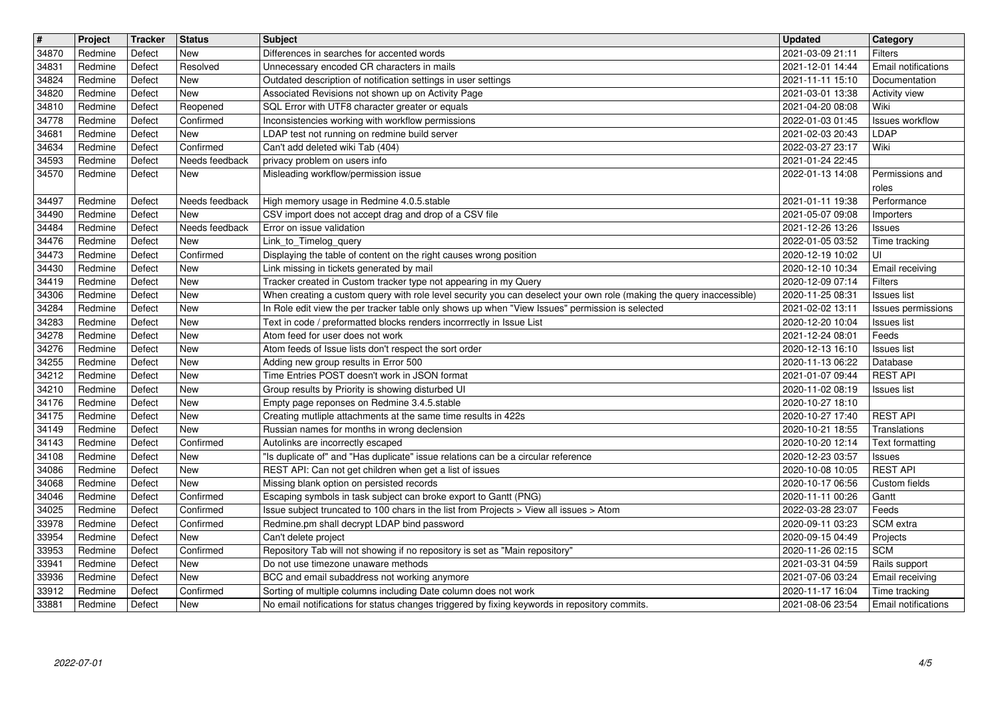| $\overline{\boldsymbol{H}}$ | Project    | Tracker | <b>Status</b>    | <b>Subject</b>                                                                                                       | <b>Updated</b>   | Category                   |
|-----------------------------|------------|---------|------------------|----------------------------------------------------------------------------------------------------------------------|------------------|----------------------------|
| 34870                       | Redmine    | Defect  | New              | Differences in searches for accented words                                                                           | 2021-03-09 21:11 | <b>Filters</b>             |
| 34831                       | Redmine    | Defect  | Resolved         | Unnecessary encoded CR characters in mails                                                                           | 2021-12-01 14:44 | Email notifications        |
| 34824                       | Redmine    | Defect  | <b>New</b>       | Outdated description of notification settings in user settings                                                       | 2021-11-11 15:10 | Documentation              |
| 34820                       | Redmine    | Defect  | New              | Associated Revisions not shown up on Activity Page                                                                   | 2021-03-01 13:38 | <b>Activity view</b>       |
| 34810                       | Redmine    | Defect  | Reopened         | SQL Error with UTF8 character greater or equals                                                                      | 2021-04-20 08:08 | Wiki                       |
| 34778                       | Redmine    | Defect  | Confirmed        | Inconsistencies working with workflow permissions                                                                    | 2022-01-03 01:45 | <b>Issues workflow</b>     |
| 34681                       | Redmine    | Defect  | New              | LDAP test not running on redmine build server                                                                        | 2021-02-03 20:43 | LDAP                       |
| 34634                       | Redmine    | Defect  | Confirmed        | Can't add deleted wiki Tab (404)                                                                                     | 2022-03-27 23:17 | Wiki                       |
| 34593                       | Redmine    | Defect  | Needs feedback   | privacy problem on users info                                                                                        | 2021-01-24 22:45 | Permissions and            |
| 34570                       | Redmine    | Defect  | New              | Misleading workflow/permission issue                                                                                 | 2022-01-13 14:08 | roles                      |
| 34497                       | Redmine    | Defect  | Needs feedback   | High memory usage in Redmine 4.0.5.stable                                                                            | 2021-01-11 19:38 | Performance                |
| 34490                       | Redmine    | Defect  | New              | CSV import does not accept drag and drop of a CSV file                                                               | 2021-05-07 09:08 | Importers                  |
| 34484                       | Redmine    | Defect  | Needs feedback   | Error on issue validation                                                                                            | 2021-12-26 13:26 | <b>Issues</b>              |
| 34476                       | Redmine    | Defect  | New              | Link_to_Timelog_query                                                                                                | 2022-01-05 03:52 | Time tracking              |
| 34473                       | Redmine    | Defect  | Confirmed        | Displaying the table of content on the right causes wrong position                                                   | 2020-12-19 10:02 | UI                         |
| 34430                       | Redmine    | Defect  | New              | Link missing in tickets generated by mail                                                                            | 2020-12-10 10:34 | Email receiving            |
| 34419                       | Redmine    | Defect  | New              | Tracker created in Custom tracker type not appearing in my Query                                                     | 2020-12-09 07:14 | <b>Filters</b>             |
| 34306                       | Redmine    | Defect  | New              | When creating a custom query with role level security you can deselect your own role (making the query inaccessible) | 2020-11-25 08:31 | Issues list                |
| 34284                       | Redmine    | Defect  | New              | In Role edit view the per tracker table only shows up when "View Issues" permission is selected                      | 2021-02-02 13:11 | Issues permissions         |
| 34283                       | Redmine    | Defect  | New              | Text in code / preformatted blocks renders incorrrectly in Issue List                                                | 2020-12-20 10:04 | <b>Issues list</b>         |
| 34278                       | Redmine    | Defect  | New              | Atom feed for user does not work                                                                                     | 2021-12-24 08:01 | Feeds                      |
| 34276                       | Redmine    | Defect  | New              | Atom feeds of Issue lists don't respect the sort order                                                               | 2020-12-13 16:10 | <b>Issues list</b>         |
| 34255                       | Redmine    | Defect  | New              | Adding new group results in Error 500                                                                                | 2020-11-13 06:22 | Database                   |
| 34212                       | Redmine    | Defect  | New              | Time Entries POST doesn't work in JSON format                                                                        | 2021-01-07 09:44 | <b>REST API</b>            |
| 34210                       | Redmine    | Defect  | New              | Group results by Priority is showing disturbed UI                                                                    | 2020-11-02 08:19 | <b>Issues list</b>         |
| 34176                       | Redmine    | Defect  | New              | Empty page reponses on Redmine 3.4.5.stable                                                                          | 2020-10-27 18:10 |                            |
| 34175                       | Redmine    | Defect  | New              | Creating mutliple attachments at the same time results in 422s                                                       | 2020-10-27 17:40 | <b>REST API</b>            |
| 34149                       | Redmine    | Defect  | New              | Russian names for months in wrong declension                                                                         | 2020-10-21 18:55 | Translations               |
| 34143                       | Redmine    | Defect  | Confirmed        | Autolinks are incorrectly escaped                                                                                    | 2020-10-20 12:14 | Text formatting            |
| 34108                       | Redmine    | Defect  | New              | "Is duplicate of" and "Has duplicate" issue relations can be a circular reference                                    | 2020-12-23 03:57 | <b>Issues</b>              |
| 34086                       | Redmine    | Defect  | <b>New</b>       | REST API: Can not get children when get a list of issues                                                             | 2020-10-08 10:05 | <b>REST API</b>            |
| 34068                       | Redmine    | Defect  | New<br>Confirmed | Missing blank option on persisted records                                                                            | 2020-10-17 06:56 | Custom fields              |
| 34046                       | Redmine    | Defect  | Confirmed        | Escaping symbols in task subject can broke export to Gantt (PNG)                                                     | 2020-11-11 00:26 | Gantt                      |
| 34025                       | Redmine    | Defect  |                  | Issue subject truncated to 100 chars in the list from Projects > View all issues > Atom                              | 2022-03-28 23:07 | Feeds                      |
| 33978                       | Redmine    | Defect  | Confirmed        | Redmine.pm shall decrypt LDAP bind password                                                                          | 2020-09-11 03:23 | SCM extra                  |
| 33954                       | Redmine    | Defect  | New              | Can't delete project                                                                                                 | 2020-09-15 04:49 | Projects                   |
| 33953                       | Redmine    | Defect  | Confirmed        | Repository Tab will not showing if no repository is set as "Main repository"                                         | 2020-11-26 02:15 | <b>SCM</b>                 |
| 33941                       | Redmine    | Defect  | New              | Do not use timezone unaware methods                                                                                  | 2021-03-31 04:59 | Rails support              |
| 33936                       | Redmine    | Defect  | New              | BCC and email subaddress not working anymore                                                                         | 2021-07-06 03:24 | Email receiving            |
| 33912                       | Redmine    | Defect  | Confirmed        | Sorting of multiple columns including Date column does not work                                                      | 2020-11-17 16:04 | Time tracking              |
| 33881                       | Redmine    | Defect  | New              | No email notifications for status changes triggered by fixing keywords in repository commits.                        | 2021-08-06 23:54 | <b>Email notifications</b> |
|                             | 2022-07-01 |         |                  |                                                                                                                      |                  | 4/5                        |
|                             |            |         |                  |                                                                                                                      |                  |                            |
|                             |            |         |                  |                                                                                                                      |                  |                            |
|                             |            |         |                  |                                                                                                                      |                  |                            |